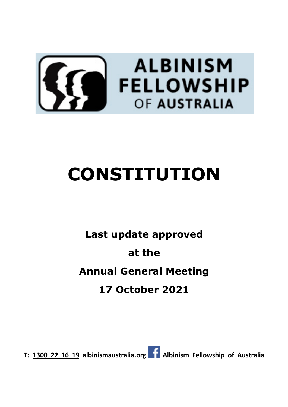

# **CONSTITUTION**

## **Last update approved at the Annual General Meeting 17 October 2021**

**T: 1300 22 16 19 albinismaustralia.org Albinism Fellowship of Australia**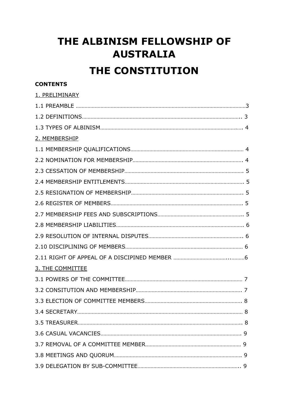### **THE ALBINISM FELLOWSHIP OF AUSTRALIA**

### **THE CONSTITUTION**

#### **CONTENTS**

| 1. PRELIMINARY   |  |
|------------------|--|
|                  |  |
|                  |  |
|                  |  |
| 2. MEMBERSHIP    |  |
|                  |  |
|                  |  |
|                  |  |
|                  |  |
|                  |  |
|                  |  |
|                  |  |
|                  |  |
|                  |  |
|                  |  |
|                  |  |
| 3. THE COMMITTEE |  |
|                  |  |
|                  |  |
|                  |  |
|                  |  |
|                  |  |
|                  |  |
|                  |  |
|                  |  |
|                  |  |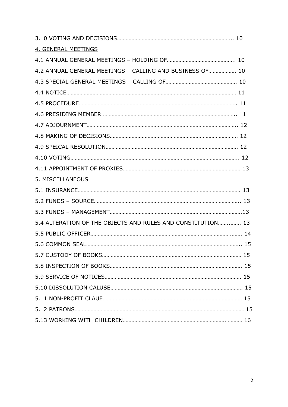| 4. GENERAL MEETINGS                                         |  |
|-------------------------------------------------------------|--|
|                                                             |  |
| 4.2 ANNUAL GENERAL MEETINGS - CALLING AND BUSINESS OF 10    |  |
|                                                             |  |
|                                                             |  |
|                                                             |  |
|                                                             |  |
|                                                             |  |
|                                                             |  |
|                                                             |  |
|                                                             |  |
|                                                             |  |
| 5. MISCELLANEOUS                                            |  |
|                                                             |  |
|                                                             |  |
|                                                             |  |
| 5.4 ALTERATION OF THE OBJECTS AND RULES AND CONSTITUTION 13 |  |
|                                                             |  |
|                                                             |  |
|                                                             |  |
|                                                             |  |
|                                                             |  |
|                                                             |  |
|                                                             |  |
|                                                             |  |
|                                                             |  |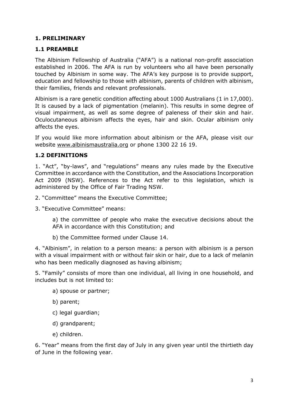#### **1. PRELIMINARY**

#### **1.1 PREAMBLE**

The Albinism Fellowship of Australia ("AFA") is a national non-profit association established in 2006. The AFA is run by volunteers who all have been personally touched by Albinism in some way. The AFA's key purpose is to provide support, education and fellowship to those with albinism, parents of children with albinism, their families, friends and relevant professionals.

Albinism is a rare genetic condition affecting about 1000 Australians (1 in 17,000). It is caused by a lack of pigmentation (melanin). This results in some degree of visual impairment, as well as some degree of paleness of their skin and hair. Oculocutaneous albinism affects the eyes, hair and skin. Ocular albinism only affects the eyes.

If you would like more information about albinism or the AFA, please visit our website www.albinismaustralia.org or phone 1300 22 16 19.

#### **1.2 DEFINITIONS**

1. "Act", "by-laws", and "regulations" means any rules made by the Executive Committee in accordance with the Constitution, and the Associations Incorporation Act 2009 (NSW). References to the Act refer to this legislation, which is administered by the Office of Fair Trading NSW.

- 2. "Committee" means the Executive Committee;
- 3. "Executive Committee" means:

a) the committee of people who make the executive decisions about the AFA in accordance with this Constitution; and

b) the Committee formed under Clause 14.

4. "Albinism", in relation to a person means: a person with albinism is a person with a visual impairment with or without fair skin or hair, due to a lack of melanin who has been medically diagnosed as having albinism;

5. "Family" consists of more than one individual, all living in one household, and includes but is not limited to:

- a) spouse or partner;
- b) parent;
- c) legal guardian;
- d) grandparent;
- e) children.

6. "Year" means from the first day of July in any given year until the thirtieth day of June in the following year.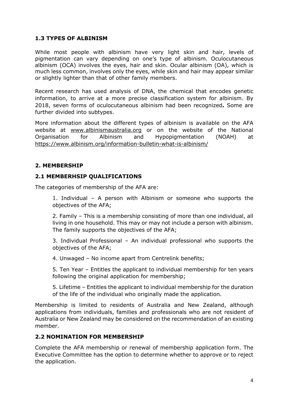#### **1.3 TYPES OF ALBINISM**

While most people with albinism have very light skin and hair, levels of pigmentation can vary depending on one's type of albinism. Oculocutaneous albinism (OCA) involves the eyes, hair and skin. Ocular albinism (OA), which is much less common, involves only the eyes, while skin and hair may appear similar or slightly lighter than that of other family members.

Recent research has used analysis of DNA, the chemical that encodes genetic information, to arrive at a more precise classification system for albinism. By 2018, seven forms of oculocutaneous albinism had been recognized**.** Some are further divided into subtypes.

More information about the different types of albinism is available on the AFA website at www.albinismaustralia.org or on the website of the National Organisation for Albinism and Hypopigmentation (NOAH) at https://www.albinism.org/information-bulletin-what-is-albinism/

#### **2. MEMBERSHIP**

#### **2.1 MEMBERHSIP QUALIFICATIONS**

The categories of membership of the AFA are:

1. Individual – A person with Albinism or someone who supports the objectives of the AFA;

2. Family – This is a membership consisting of more than one individual, all living in one household. This may or may not include a person with albinism. The family supports the objectives of the AFA;

3. Individual Professional – An individual professional who supports the objectives of the AFA;

4. Unwaged – No income apart from Centrelink benefits;

5. Ten Year – Entitles the applicant to individual membership for ten years following the original application for membership;

5. Lifetime – Entitles the applicant to individual membership for the duration of the life of the individual who originally made the application.

Membership is limited to residents of Australia and New Zealand, although applications from individuals, families and professionals who are not resident of Australia or New Zealand may be considered on the recommendation of an existing member.

#### **2.2 NOMINATION FOR MEMBERSHIP**

Complete the AFA membership or renewal of membership application form. The Executive Committee has the option to determine whether to approve or to reject the application.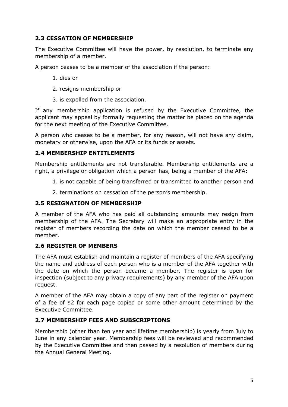#### **2.3 CESSATION OF MEMBERSHIP**

The Executive Committee will have the power, by resolution, to terminate any membership of a member.

A person ceases to be a member of the association if the person:

- 1. dies or
- 2. resigns membership or
- 3. is expelled from the association.

If any membership application is refused by the Executive Committee, the applicant may appeal by formally requesting the matter be placed on the agenda for the next meeting of the Executive Committee.

A person who ceases to be a member, for any reason, will not have any claim, monetary or otherwise, upon the AFA or its funds or assets.

#### **2.4 MEMBERSHIP ENTITLEMENTS**

Membership entitlements are not transferable. Membership entitlements are a right, a privilege or obligation which a person has, being a member of the AFA:

- 1. is not capable of being transferred or transmitted to another person and
- 2. terminations on cessation of the person's membership.

#### **2.5 RESIGNATION OF MEMBERSHIP**

A member of the AFA who has paid all outstanding amounts may resign from membership of the AFA. The Secretary will make an appropriate entry in the register of members recording the date on which the member ceased to be a member.

#### **2.6 REGISTER OF MEMBERS**

The AFA must establish and maintain a register of members of the AFA specifying the name and address of each person who is a member of the AFA together with the date on which the person became a member. The register is open for inspection (subject to any privacy requirements) by any member of the AFA upon request.

A member of the AFA may obtain a copy of any part of the register on payment of a fee of \$2 for each page copied or some other amount determined by the Executive Committee.

#### **2.7 MEMBERSHIP FEES AND SUBSCRIPTIONS**

Membership (other than ten year and lifetime membership) is yearly from July to June in any calendar year. Membership fees will be reviewed and recommended by the Executive Committee and then passed by a resolution of members during the Annual General Meeting.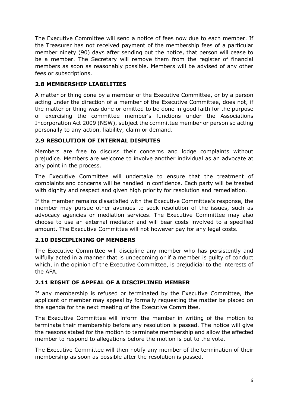The Executive Committee will send a notice of fees now due to each member. If the Treasurer has not received payment of the membership fees of a particular member ninety (90) days after sending out the notice, that person will cease to be a member. The Secretary will remove them from the register of financial members as soon as reasonably possible. Members will be advised of any other fees or subscriptions.

#### **2.8 MEMBERSHIP LIABILITIES**

A matter or thing done by a member of the Executive Committee, or by a person acting under the direction of a member of the Executive Committee, does not, if the matter or thing was done or omitted to be done in good faith for the purpose of exercising the committee member's functions under the Associations Incorporation Act 2009 (NSW), subject the committee member or person so acting personally to any action, liability, claim or demand.

#### **2.9 RESOLUTION OF INTERNAL DISPUTES**

Members are free to discuss their concerns and lodge complaints without prejudice. Members are welcome to involve another individual as an advocate at any point in the process.

The Executive Committee will undertake to ensure that the treatment of complaints and concerns will be handled in confidence. Each party will be treated with dignity and respect and given high priority for resolution and remediation.

If the member remains dissatisfied with the Executive Committee's response, the member may pursue other avenues to seek resolution of the issues, such as advocacy agencies or mediation services. The Executive Committee may also choose to use an external mediator and will bear costs involved to a specified amount. The Executive Committee will not however pay for any legal costs.

#### **2.10 DISCIPLINING OF MEMBERS**

The Executive Committee will discipline any member who has persistently and wilfully acted in a manner that is unbecoming or if a member is guilty of conduct which, in the opinion of the Executive Committee, is prejudicial to the interests of the AFA.

#### **2.11 RIGHT OF APPEAL OF A DISCIPLINED MEMBER**

If any membership is refused or terminated by the Executive Committee, the applicant or member may appeal by formally requesting the matter be placed on the agenda for the next meeting of the Executive Committee.

The Executive Committee will inform the member in writing of the motion to terminate their membership before any resolution is passed. The notice will give the reasons stated for the motion to terminate membership and allow the affected member to respond to allegations before the motion is put to the vote.

The Executive Committee will then notify any member of the termination of their membership as soon as possible after the resolution is passed.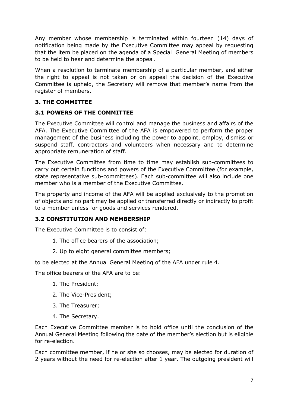Any member whose membership is terminated within fourteen (14) days of notification being made by the Executive Committee may appeal by requesting that the item be placed on the agenda of a Special General Meeting of members to be held to hear and determine the appeal.

When a resolution to terminate membership of a particular member, and either the right to appeal is not taken or on appeal the decision of the Executive Committee is upheld, the Secretary will remove that member's name from the register of members.

#### **3. THE COMMITTEE**

#### **3.1 POWERS OF THE COMMITTEE**

The Executive Committee will control and manage the business and affairs of the AFA. The Executive Committee of the AFA is empowered to perform the proper management of the business including the power to appoint, employ, dismiss or suspend staff, contractors and volunteers when necessary and to determine appropriate remuneration of staff.

The Executive Committee from time to time may establish sub-committees to carry out certain functions and powers of the Executive Committee (for example, state representative sub-committees). Each sub-committee will also include one member who is a member of the Executive Committee.

The property and income of the AFA will be applied exclusively to the promotion of objects and no part may be applied or transferred directly or indirectly to profit to a member unless for goods and services rendered.

#### **3.2 CONSTITUTION AND MEMBERSHIP**

The Executive Committee is to consist of:

- 1. The office bearers of the association;
- 2. Up to eight general committee members;

to be elected at the Annual General Meeting of the AFA under rule 4.

The office bearers of the AFA are to be:

- 1. The President;
- 2. The Vice-President;
- 3. The Treasurer;
- 4. The Secretary.

Each Executive Committee member is to hold office until the conclusion of the Annual General Meeting following the date of the member's election but is eligible for re-election.

Each committee member, if he or she so chooses, may be elected for duration of 2 years without the need for re-election after 1 year. The outgoing president will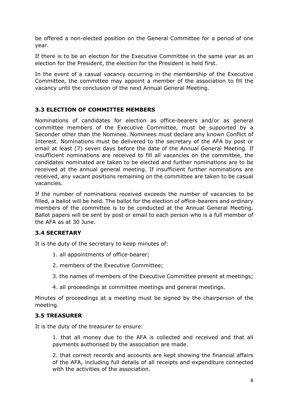be offered a non-elected position on the General Committee for a period of one year.

If there is to be an election for the Executive Committee in the same year as an election for the President, the election for the President is held first.

In the event of a casual vacancy occurring in the membership of the Executive Committee, the committee may appoint a member of the association to fill the vacancy until the conclusion of the next Annual General Meeting.

#### **3.3 ELECTION OF COMMITTEE MEMBERS**

Nominations of candidates for election as office-bearers and/or as general committee members of the Executive Committee, must be supported by a Seconder other than the Nominee. Nominees must declare any known Conflict of Interest. Nominations must be delivered to the secretary of the AFA by post or email at least (7) seven days before the date of the Annual General Meeting. If insufficient nominations are received to fill all vacancies on the committee, the candidates nominated are taken to be elected and further nominations are to be received at the annual general meeting. If insufficient further nominations are received, any vacant positions remaining on the committee are taken to be casual vacancies.

If the number of nominations received exceeds the number of vacancies to be filled, a ballot will be held. The ballot for the election of office-bearers and ordinary members of the committee is to be conducted at the Annual General Meeting. Ballot papers will be sent by post or email to each person who is a full member of the AFA as at 30 June.

#### **3.4 SECRETARY**

It is the duty of the secretary to keep minutes of:

- 1. all appointments of office-bearer;
- 2. members of the Executive Committee;
- 3. the names of members of the Executive Committee present at meetings;
- 4. all proceedings at committee meetings and general meetings.

Minutes of proceedings at a meeting must be signed by the chairperson of the meeting.

#### **3.5 TREASURER**

It is the duty of the treasurer to ensure:

1. that all money due to the AFA is collected and received and that all payments authorised by the association are made.

2. that correct records and accounts are kept showing the financial affairs of the AFA, including full details of all receipts and expenditure connected with the activities of the association.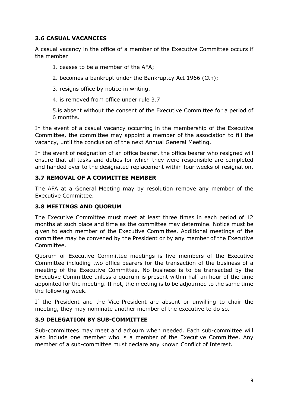#### **3.6 CASUAL VACANCIES**

A casual vacancy in the office of a member of the Executive Committee occurs if the member

- 1. ceases to be a member of the AFA;
- 2. becomes a bankrupt under the Bankruptcy Act 1966 (Cth);
- 3. resigns office by notice in writing.
- 4. is removed from office under rule 3.7

5.is absent without the consent of the Executive Committee for a period of 6 months.

In the event of a casual vacancy occurring in the membership of the Executive Committee, the committee may appoint a member of the association to fill the vacancy, until the conclusion of the next Annual General Meeting.

In the event of resignation of an office bearer, the office bearer who resigned will ensure that all tasks and duties for which they were responsible are completed and handed over to the designated replacement within four weeks of resignation.

#### **3.7 REMOVAL OF A COMMITTEE MEMBER**

The AFA at a General Meeting may by resolution remove any member of the Executive Committee.

#### **3.8 MEETINGS AND QUORUM**

The Executive Committee must meet at least three times in each period of 12 months at such place and time as the committee may determine. Notice must be given to each member of the Executive Committee. Additional meetings of the committee may be convened by the President or by any member of the Executive Committee.

Quorum of Executive Committee meetings is five members of the Executive Committee including two office bearers for the transaction of the business of a meeting of the Executive Committee. No business is to be transacted by the Executive Committee unless a quorum is present within half an hour of the time appointed for the meeting. If not, the meeting is to be adjourned to the same time the following week.

If the President and the Vice-President are absent or unwilling to chair the meeting, they may nominate another member of the executive to do so.

#### **3.9 DELEGATION BY SUB-COMMITTEE**

Sub-committees may meet and adjourn when needed. Each sub-committee will also include one member who is a member of the Executive Committee. Any member of a sub-committee must declare any known Conflict of Interest.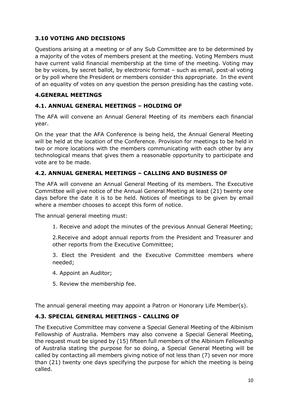#### **3.10 VOTING AND DECISIONS**

Questions arising at a meeting or of any Sub Committee are to be determined by a majority of the votes of members present at the meeting. Voting Members must have current valid financial membership at the time of the meeting. Voting may be by voices, by secret ballot, by electronic format – such as email, post-al voting or by poll where the President or members consider this appropriate. In the event of an equality of votes on any question the person presiding has the casting vote.

#### **4.GENERAL MEETINGS**

#### **4.1. ANNUAL GENERAL MEETINGS – HOLDING OF**

The AFA will convene an Annual General Meeting of its members each financial year.

On the year that the AFA Conference is being held, the Annual General Meeting will be held at the location of the Conference. Provision for meetings to be held in two or more locations with the members communicating with each other by any technological means that gives them a reasonable opportunity to participate and vote are to be made.

#### **4.2. ANNUAL GENERAL MEETINGS – CALLING AND BUSINESS OF**

The AFA will convene an Annual General Meeting of its members. The Executive Committee will give notice of the Annual General Meeting at least (21) twenty one days before the date it is to be held. Notices of meetings to be given by email where a member chooses to accept this form of notice.

The annual general meeting must:

1. Receive and adopt the minutes of the previous Annual General Meeting;

2.Receive and adopt annual reports from the President and Treasurer and other reports from the Executive Committee;

3. Elect the President and the Executive Committee members where needed;

- 4. Appoint an Auditor;
- 5. Review the membership fee.

The annual general meeting may appoint a Patron or Honorary Life Member(s).

#### **4.3. SPECIAL GENERAL MEETINGS - CALLING OF**

The Executive Committee may convene a Special General Meeting of the Albinism Fellowship of Australia. Members may also convene a Special General Meeting, the request must be signed by (15) fifteen full members of the Albinism Fellowship of Australia stating the purpose for so doing, a Special General Meeting will be called by contacting all members giving notice of not less than (7) seven nor more than (21) twenty one days specifying the purpose for which the meeting is being called.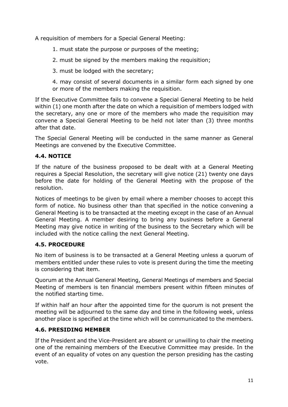A requisition of members for a Special General Meeting:

- 1. must state the purpose or purposes of the meeting;
- 2. must be signed by the members making the requisition;
- 3. must be lodged with the secretary;
- 4. may consist of several documents in a similar form each signed by one or more of the members making the requisition.

If the Executive Committee fails to convene a Special General Meeting to be held within (1) one month after the date on which a requisition of members lodged with the secretary, any one or more of the members who made the requisition may convene a Special General Meeting to be held not later than (3) three months after that date.

The Special General Meeting will be conducted in the same manner as General Meetings are convened by the Executive Committee.

#### **4.4. NOTICE**

If the nature of the business proposed to be dealt with at a General Meeting requires a Special Resolution, the secretary will give notice (21) twenty one days before the date for holding of the General Meeting with the propose of the resolution.

Notices of meetings to be given by email where a member chooses to accept this form of notice. No business other than that specified in the notice convening a General Meeting is to be transacted at the meeting except in the case of an Annual General Meeting. A member desiring to bring any business before a General Meeting may give notice in writing of the business to the Secretary which will be included with the notice calling the next General Meeting.

#### **4.5. PROCEDURE**

No item of business is to be transacted at a General Meeting unless a quorum of members entitled under these rules to vote is present during the time the meeting is considering that item.

Quorum at the Annual General Meeting, General Meetings of members and Special Meeting of members is ten financial members present within fifteen minutes of the notified starting time.

If within half an hour after the appointed time for the quorum is not present the meeting will be adjourned to the same day and time in the following week, unless another place is specified at the time which will be communicated to the members.

#### **4.6. PRESIDING MEMBER**

If the President and the Vice-President are absent or unwilling to chair the meeting one of the remaining members of the Executive Committee may preside. In the event of an equality of votes on any question the person presiding has the casting vote.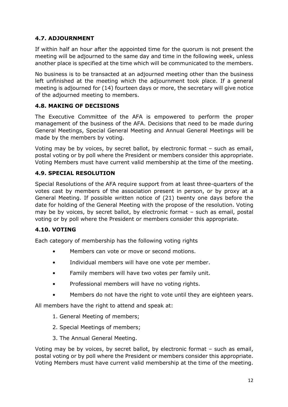#### **4.7. ADJOURNMENT**

If within half an hour after the appointed time for the quorum is not present the meeting will be adjourned to the same day and time in the following week, unless another place is specified at the time which will be communicated to the members.

No business is to be transacted at an adjourned meeting other than the business left unfinished at the meeting which the adjournment took place. If a general meeting is adjourned for (14) fourteen days or more, the secretary will give notice of the adjourned meeting to members.

#### **4.8. MAKING OF DECISIONS**

The Executive Committee of the AFA is empowered to perform the proper management of the business of the AFA. Decisions that need to be made during General Meetings, Special General Meeting and Annual General Meetings will be made by the members by voting.

Voting may be by voices, by secret ballot, by electronic format – such as email, postal voting or by poll where the President or members consider this appropriate. Voting Members must have current valid membership at the time of the meeting.

#### **4.9. SPECIAL RESOLUTION**

Special Resolutions of the AFA require support from at least three-quarters of the votes cast by members of the association present in person, or by proxy at a General Meeting. If possible written notice of (21) twenty one days before the date for holding of the General Meeting with the propose of the resolution. Voting may be by voices, by secret ballot, by electronic format – such as email, postal voting or by poll where the President or members consider this appropriate.

#### **4.10. VOTING**

Each category of membership has the following voting rights

- Members can vote or move or second motions.
- Individual members will have one vote per member.
- Family members will have two votes per family unit.
- Professional members will have no voting rights.
- Members do not have the right to vote until they are eighteen years.

All members have the right to attend and speak at:

- 1. General Meeting of members;
- 2. Special Meetings of members;
- 3. The Annual General Meeting.

Voting may be by voices, by secret ballot, by electronic format – such as email, postal voting or by poll where the President or members consider this appropriate. Voting Members must have current valid membership at the time of the meeting.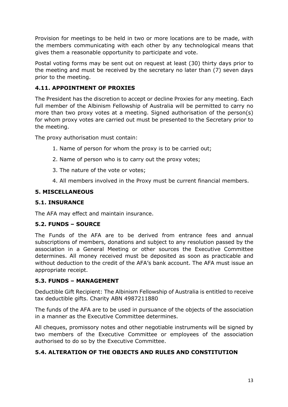Provision for meetings to be held in two or more locations are to be made, with the members communicating with each other by any technological means that gives them a reasonable opportunity to participate and vote.

Postal voting forms may be sent out on request at least (30) thirty days prior to the meeting and must be received by the secretary no later than (7) seven days prior to the meeting.

#### **4.11. APPOINTMENT OF PROXIES**

The President has the discretion to accept or decline Proxies for any meeting. Each full member of the Albinism Fellowship of Australia will be permitted to carry no more than two proxy votes at a meeting. Signed authorisation of the person(s) for whom proxy votes are carried out must be presented to the Secretary prior to the meeting.

The proxy authorisation must contain:

- 1. Name of person for whom the proxy is to be carried out;
- 2. Name of person who is to carry out the proxy votes;
- 3. The nature of the vote or votes;
- 4. All members involved in the Proxy must be current financial members.

#### **5. MISCELLANEOUS**

#### **5.1. INSURANCE**

The AFA may effect and maintain insurance.

#### **5.2. FUNDS – SOURCE**

The Funds of the AFA are to be derived from entrance fees and annual subscriptions of members, donations and subject to any resolution passed by the association in a General Meeting or other sources the Executive Committee determines. All money received must be deposited as soon as practicable and without deduction to the credit of the AFA's bank account. The AFA must issue an appropriate receipt.

#### **5.3. FUNDS – MANAGEMENT**

Deductible Gift Recipient: The Albinism Fellowship of Australia is entitled to receive tax deductible gifts. Charity ABN 4987211880

The funds of the AFA are to be used in pursuance of the objects of the association in a manner as the Executive Committee determines.

All cheques, promissory notes and other negotiable instruments will be signed by two members of the Executive Committee or employees of the association authorised to do so by the Executive Committee.

#### **5.4. ALTERATION OF THE OBJECTS AND RULES AND CONSTITUTION**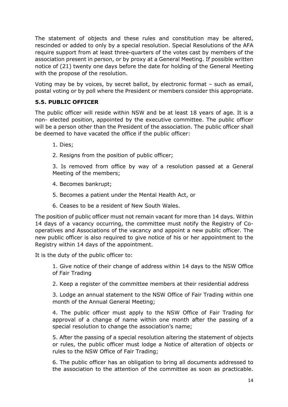The statement of objects and these rules and constitution may be altered, rescinded or added to only by a special resolution. Special Resolutions of the AFA require support from at least three-quarters of the votes cast by members of the association present in person, or by proxy at a General Meeting. If possible written notice of (21) twenty one days before the date for holding of the General Meeting with the propose of the resolution.

Voting may be by voices, by secret ballot, by electronic format – such as email, postal voting or by poll where the President or members consider this appropriate.

#### **5.5. PUBLIC OFFICER**

The public officer will reside within NSW and be at least 18 years of age. It is a non- elected position, appointed by the executive committee. The public officer will be a person other than the President of the association. The public officer shall be deemed to have vacated the office if the public officer:

- 1. Dies;
- 2. Resigns from the position of public officer;

3. Is removed from office by way of a resolution passed at a General Meeting of the members;

- 4. Becomes bankrupt;
- 5. Becomes a patient under the Mental Health Act, or
- 6. Ceases to be a resident of New South Wales.

The position of public officer must not remain vacant for more than 14 days. Within 14 days of a vacancy occurring, the committee must notify the Registry of Cooperatives and Associations of the vacancy and appoint a new public officer. The new public officer is also required to give notice of his or her appointment to the Registry within 14 days of the appointment.

It is the duty of the public officer to:

1. Give notice of their change of address within 14 days to the NSW Office of Fair Trading

2. Keep a register of the committee members at their residential address

3. Lodge an annual statement to the NSW Office of Fair Trading within one month of the Annual General Meeting;

4. The public officer must apply to the NSW Office of Fair Trading for approval of a change of name within one month after the passing of a special resolution to change the association's name;

5. After the passing of a special resolution altering the statement of objects or rules, the public officer must lodge a Notice of alteration of objects or rules to the NSW Office of Fair Trading;

6. The public officer has an obligation to bring all documents addressed to the association to the attention of the committee as soon as practicable.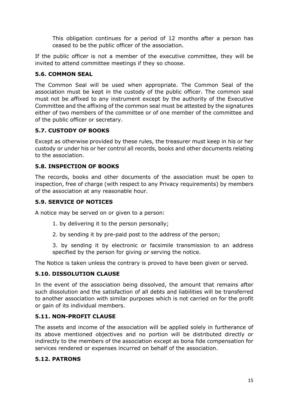This obligation continues for a period of 12 months after a person has ceased to be the public officer of the association.

If the public officer is not a member of the executive committee, they will be invited to attend committee meetings if they so choose.

#### **5.6. COMMON SEAL**

The Common Seal will be used when appropriate. The Common Seal of the association must be kept in the custody of the public officer. The common seal must not be affixed to any instrument except by the authority of the Executive Committee and the affixing of the common seal must be attested by the signatures either of two members of the committee or of one member of the committee and of the public officer or secretary.

#### **5.7. CUSTODY OF BOOKS**

Except as otherwise provided by these rules, the treasurer must keep in his or her custody or under his or her control all records, books and other documents relating to the association.

#### **5.8. INSPECTION OF BOOKS**

The records, books and other documents of the association must be open to inspection, free of charge (with respect to any Privacy requirements) by members of the association at any reasonable hour.

#### **5.9. SERVICE OF NOTICES**

A notice may be served on or given to a person:

- 1. by delivering it to the person personally;
- 2. by sending it by pre-paid post to the address of the person;

3. by sending it by electronic or facsimile transmission to an address specified by the person for giving or serving the notice.

The Notice is taken unless the contrary is proved to have been given or served.

#### **5.10. DISSOLUTION CLAUSE**

In the event of the association being dissolved, the amount that remains after such dissolution and the satisfaction of all debts and liabilities will be transferred to another association with similar purposes which is not carried on for the profit or gain of its individual members.

#### **5.11. NON-PROFIT CLAUSE**

The assets and income of the association will be applied solely in furtherance of its above mentioned objectives and no portion will be distributed directly or indirectly to the members of the association except as bona fide compensation for services rendered or expenses incurred on behalf of the association.

#### **5.12. PATRONS**